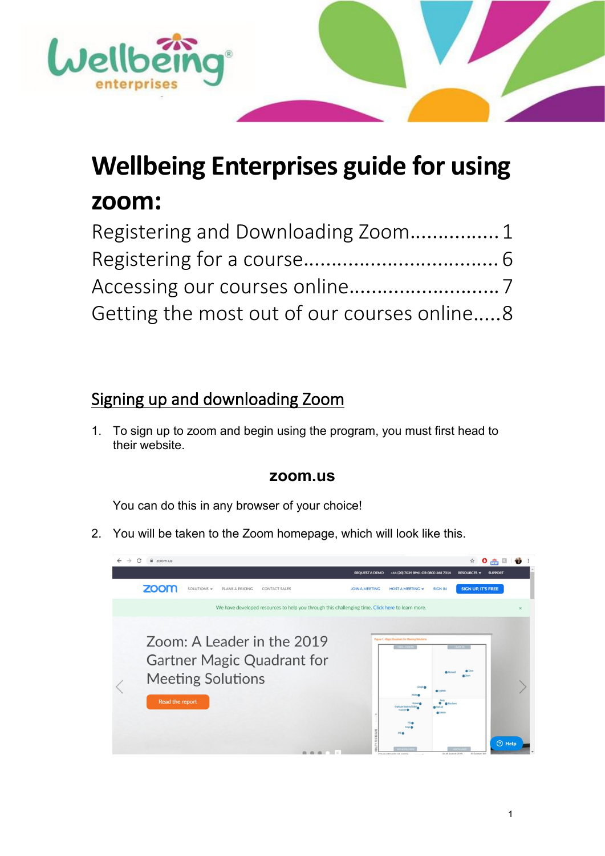

# **Wellbeing Enterprises guide for using zoom:**

| Registering and Downloading Zoom 1          |  |
|---------------------------------------------|--|
|                                             |  |
|                                             |  |
| Getting the most out of our courses online8 |  |

## <span id="page-0-0"></span>Signing up and downloading Zoom

1. To sign up to zoom and begin using the program, you must first head to their website.

### **zoom.us**

You can do this in any browser of your choice!

2. You will be taken to the Zoom homepage, which will look like this.

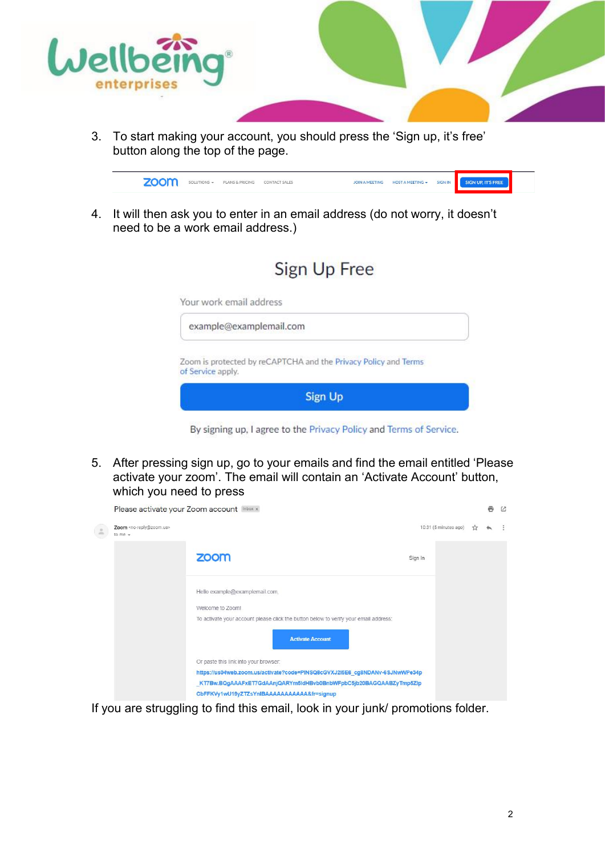

3. To start making your account, you should press the 'Sign up, it's free' button along the top of the page.



4. It will then ask you to enter in an email address (do not worry, it doesn't need to be a work email address.)

|                         | Sign Up Free                                                    |
|-------------------------|-----------------------------------------------------------------|
| Your work email address |                                                                 |
|                         | example@examplemail.com                                         |
| of Service apply.       | Zoom is protected by reCAPTCHA and the Privacy Policy and Terms |
|                         | <b>Sign Up</b>                                                  |

By signing up, I agree to the Privacy Policy and Terms of Service.

5. After pressing sign up, go to your emails and find the email entitled 'Please activate your zoom'. The email will contain an 'Activate Account' button, which you need to press

|                |                                                                     | Please activate your Zoom account Inbox x                                                                       |                       | 鬲 | 乙 |
|----------------|---------------------------------------------------------------------|-----------------------------------------------------------------------------------------------------------------|-----------------------|---|---|
| $\frac{9}{20}$ | Zoom <no-reply@zoom.us><br/>to me <math>-</math></no-reply@zoom.us> |                                                                                                                 | 10:31 (5 minutes ago) |   |   |
|                |                                                                     | zoom                                                                                                            | Sign In               |   |   |
|                |                                                                     | Hello example@examplemail.com,                                                                                  |                       |   |   |
|                |                                                                     | Welcome to Zoom!                                                                                                |                       |   |   |
|                |                                                                     | To activate your account please click the button below to verify your email address:<br><b>Activate Account</b> |                       |   |   |
|                |                                                                     | Or paste this link into your browser:                                                                           |                       |   |   |
|                |                                                                     | https://us04web.zoom.us/activate?code=PINSQ8cGVXJ2I5E6_cg8NDANv-6SJNwWPe34p                                     |                       |   |   |
|                |                                                                     | KT7Bw.BQgAAAFxET7GdAAnjQARYm5ldHBvb0BnbWFpbC5jb20BAGQAABZyTmp5Zlp                                               |                       |   |   |
|                |                                                                     | CbFFKVy1wU19yZTZsYnIBAAAAAAAAAAA&fr=signup                                                                      |                       |   |   |

If you are struggling to find this email, look in your junk/ promotions folder.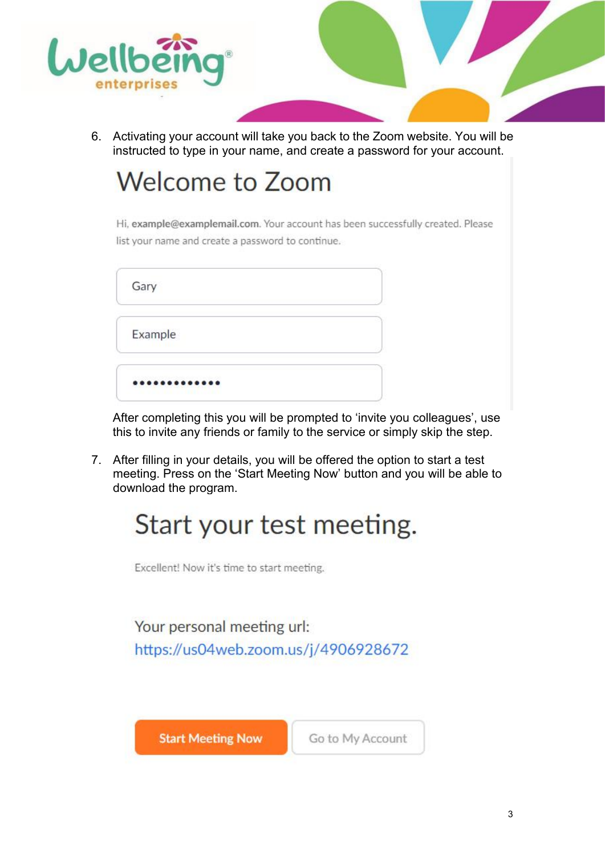

6. Activating your account will take you back to the Zoom website. You will be instructed to type in your name, and create a password for your account.

# **Welcome to Zoom**

Hi, example@examplemail.com. Your account has been successfully created. Please list your name and create a password to continue.

| Gary    |  |
|---------|--|
| Example |  |
|         |  |

After completing this you will be prompted to 'invite you colleagues', use this to invite any friends or family to the service or simply skip the step.

7. After filling in your details, you will be offered the option to start a test meeting. Press on the 'Start Meeting Now' button and you will be able to download the program.

# Start your test meeting.

Excellent! Now it's time to start meeting.

Your personal meeting url: https://us04web.zoom.us/j/4906928672

**Start Meeting Now** 

Go to My Account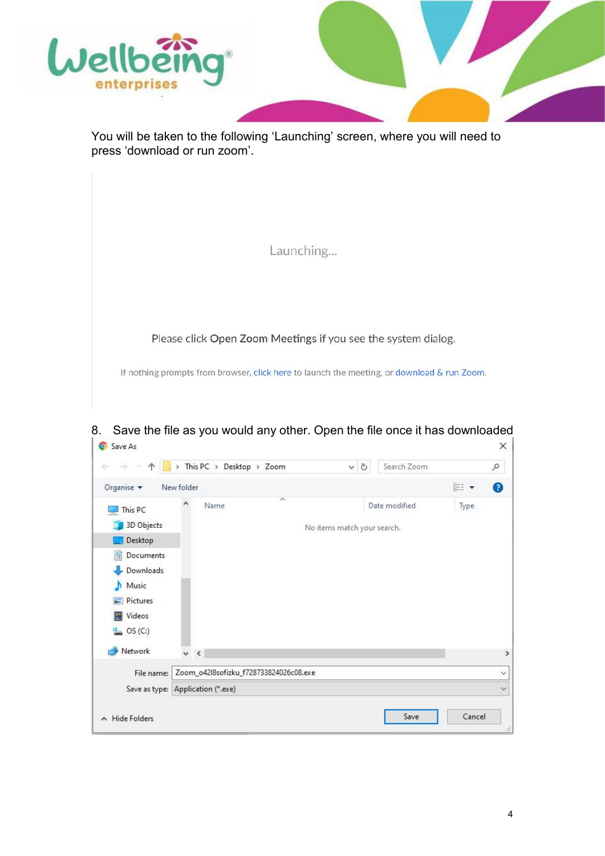

You will be taken to the following 'Launching' screen, where you will need to press 'download or run zoom'.

| Launching                                                                                  |
|--------------------------------------------------------------------------------------------|
|                                                                                            |
| Please click Open Zoom Meetings if you see the system dialog.                              |
| If nothing prompts from browser, click here to launch the meeting, or download & run Zoom. |
|                                                                                            |

8. Save the file as you would any other. Open the file once it has downloaded  $\vert \bullet \vert$  save As  $\times \vert$ 

|                                   |            |      |                                        | Ō                           |               |        |   |
|-----------------------------------|------------|------|----------------------------------------|-----------------------------|---------------|--------|---|
| Organise v                        | New folder |      |                                        |                             |               | EE Y   | ◉ |
| This PC<br>3D Objects             | ۸          | Name | ∧                                      | No items match your search. | Date modified | Type   |   |
| Desktop                           |            |      |                                        |                             |               |        |   |
| 麠<br>Documents                    |            |      |                                        |                             |               |        |   |
| Downloads                         |            |      |                                        |                             |               |        |   |
| Music                             |            |      |                                        |                             |               |        |   |
| Pictures                          |            |      |                                        |                             |               |        |   |
| Videos<br><b>PA</b>               |            |      |                                        |                             |               |        |   |
| $\frac{12}{2}$ OS (C:)            |            |      |                                        |                             |               |        |   |
| Network                           | $\vee$ <   |      |                                        |                             |               |        |   |
| File name:                        |            |      | Zoom_o42l8sofizku_f728733824026c08.exe |                             |               |        |   |
| Save as type: Application (*.exe) |            |      |                                        |                             |               |        |   |
| $\land$ Hide Folders              |            |      |                                        |                             | Save          | Cancel |   |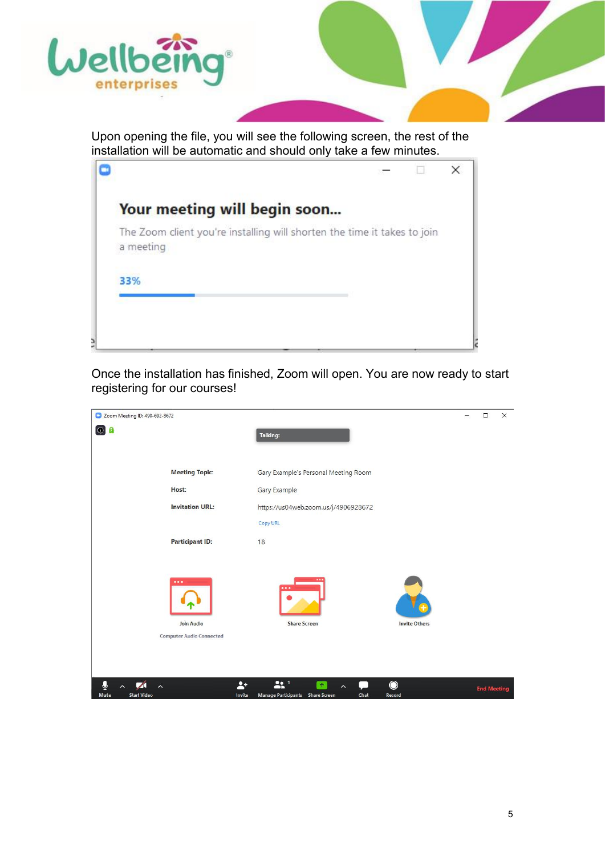

Upon opening the file, you will see the following screen, the rest of the installation will be automatic and should only take a few minutes.

|                                                                                       |  | × |
|---------------------------------------------------------------------------------------|--|---|
| Your meeting will begin soon                                                          |  |   |
| The Zoom client you're installing will shorten the time it takes to join<br>a meeting |  |   |
| 33%                                                                                   |  |   |
|                                                                                       |  |   |

Once the installation has finished, Zoom will open. You are now ready to start registering for our courses!

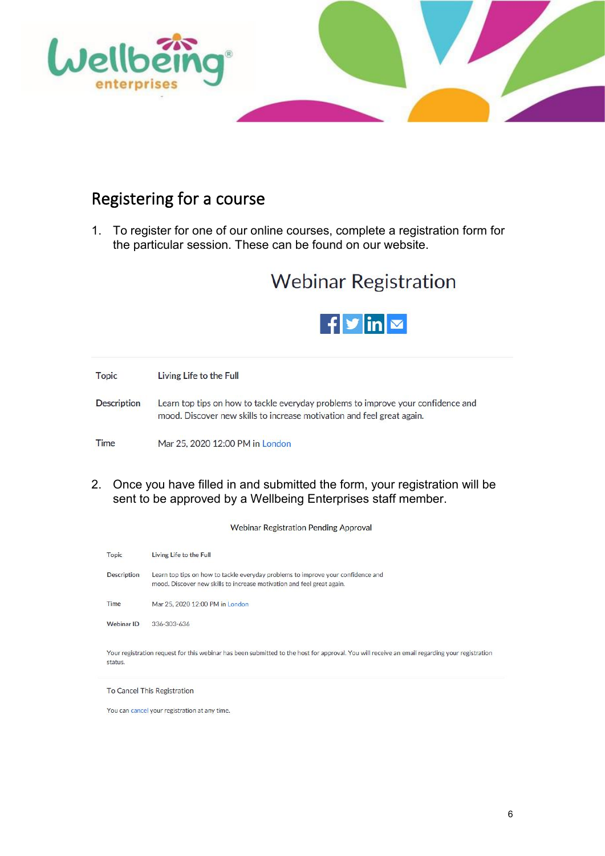

## <span id="page-5-0"></span>Registering for a course

1. To register for one of our online courses, complete a registration form for the particular session. These can be found on our website.

# **Webinar Registration**



**Topic** Living Life to the Full Description Learn top tips on how to tackle everyday problems to improve your confidence and mood. Discover new skills to increase motivation and feel great again. Time Mar 25, 2020 12:00 PM in London

2. Once you have filled in and submitted the form, your registration will be sent to be approved by a Wellbeing Enterprises staff member.

**Webinar Registration Pending Approval** 

| Topic              | Living Life to the Full                                                                                                                                    |
|--------------------|------------------------------------------------------------------------------------------------------------------------------------------------------------|
| <b>Description</b> | Learn top tips on how to tackle everyday problems to improve your confidence and<br>mood. Discover new skills to increase motivation and feel great again. |
| Time               | Mar 25, 2020 12:00 PM in London                                                                                                                            |
| Webinar ID         | 336-303-636                                                                                                                                                |
| status.            | Your registration request for this webinar has been submitted to the host for approval. You will receive an email regarding your registration              |

To Cancel This Registration

You can cancel your registration at any time.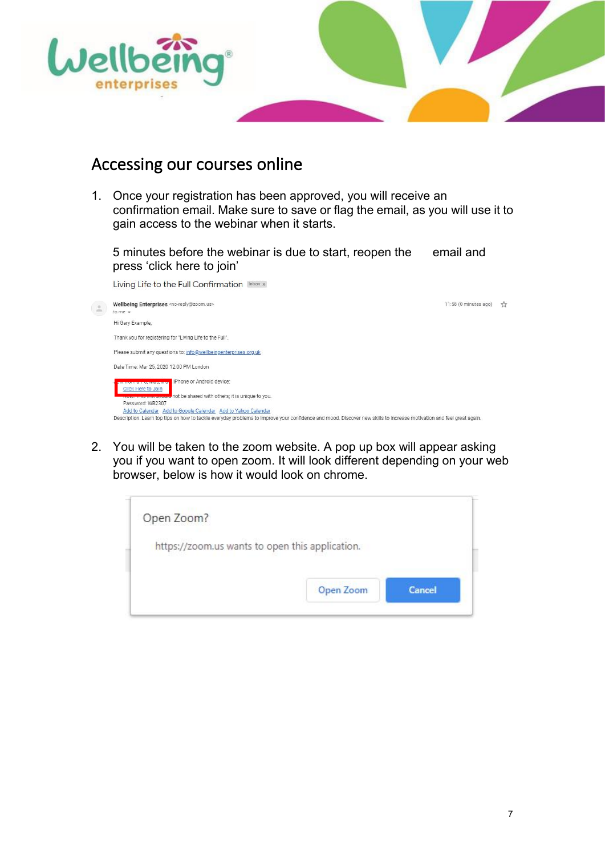

### <span id="page-6-0"></span>Accessing our courses online

1. Once your registration has been approved, you will receive an confirmation email. Make sure to save or flag the email, as you will use it to gain access to the webinar when it starts.

5 minutes before the webinar is due to start, reopen the email and press 'click here to join'

Living Life to the Full Confirmation Inbox x

| $\stackrel{\scriptscriptstyle{0}}{\,=\,}$ | Wellbeing Enterprises <no-reply@zoom.us><br/>to me <math>-</math></no-reply@zoom.us>                                                                                                                                                                     | 11:58 (0 minutes ago) | Y |
|-------------------------------------------|----------------------------------------------------------------------------------------------------------------------------------------------------------------------------------------------------------------------------------------------------------|-----------------------|---|
|                                           | Hi Gary Example,                                                                                                                                                                                                                                         |                       |   |
|                                           | Thank you for registering for "Living Life to the Full".                                                                                                                                                                                                 |                       |   |
|                                           | Please submit any questions to: info@wellbeingenterprises.org.uk                                                                                                                                                                                         |                       |   |
|                                           | Date Time: Mar 25, 2020 12:00 PM London                                                                                                                                                                                                                  |                       |   |
|                                           | Phone or Android device:<br><b>SERVICE CONTRACTOR</b><br><b>Click Here to Join</b><br>not be shared with others; it is unique to you.                                                                                                                    |                       |   |
|                                           | Password: WB2307<br>Add to Calendar Add to Google Calendar Add to Yahoo Calendar<br>Description: Learn top tips on how to tackle everyday problems to improve your confidence and mood. Discover new skills to increase motivation and feel great again. |                       |   |

2. You will be taken to the zoom website. A pop up box will appear asking you if you want to open zoom. It will look different depending on your web browser, below is how it would look on chrome.

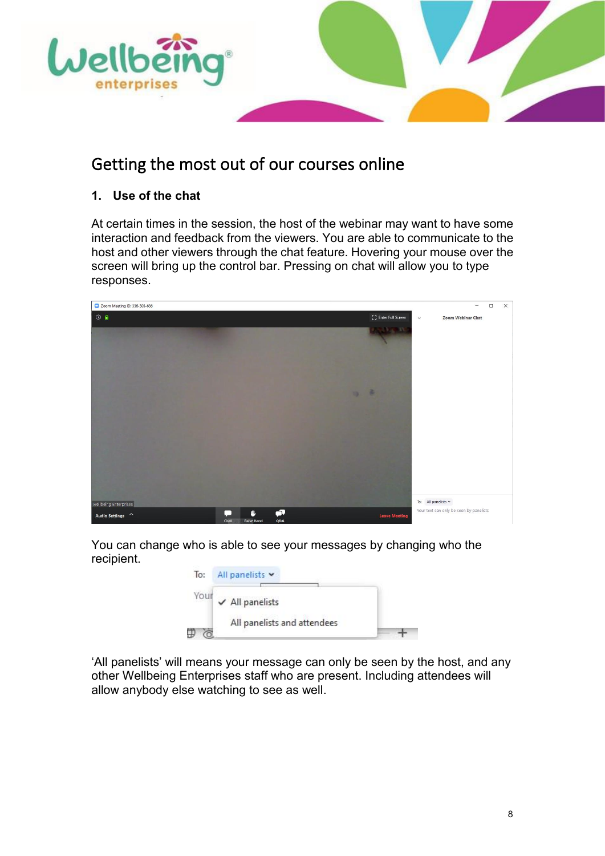

## <span id="page-7-0"></span>Getting the most out of our courses online

### **1. Use of the chat**

At certain times in the session, the host of the webinar may want to have some interaction and feedback from the viewers. You are able to communicate to the host and other viewers through the chat feature. Hovering your mouse over the screen will bring up the control bar. Pressing on chat will allow you to type responses.



You can change who is able to see your messages by changing who the recipient.



'All panelists' will means your message can only be seen by the host, and any other Wellbeing Enterprises staff who are present. Including attendees will allow anybody else watching to see as well.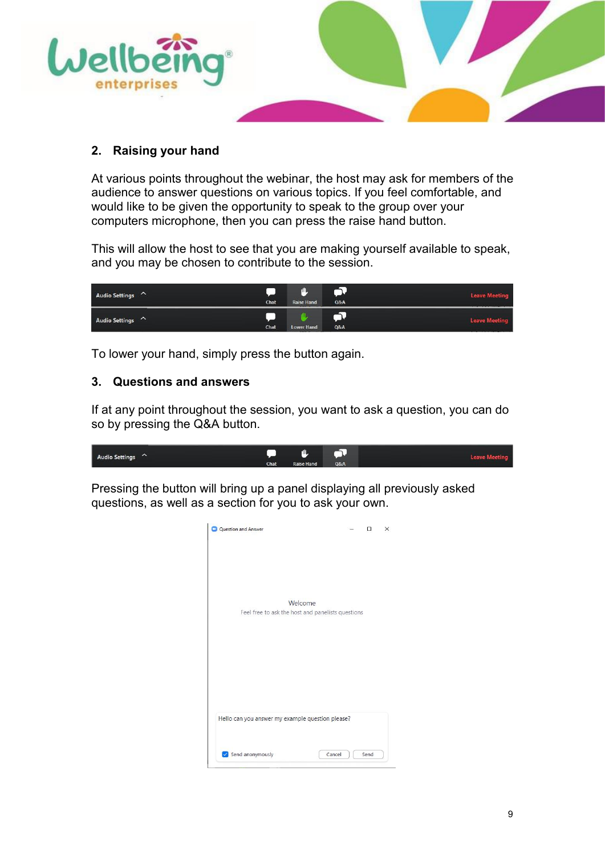

#### **2. Raising your hand**

At various points throughout the webinar, the host may ask for members of the audience to answer questions on various topics. If you feel comfortable, and would like to be given the opportunity to speak to the group over your computers microphone, then you can press the raise hand button.

This will allow the host to see that you are making yourself available to speak, and you may be chosen to contribute to the session.

| Audio Settings | <b>Chat</b> | TII<br><b>Raise Hand</b> | Q&A | <b>Leave Meeting</b>               |
|----------------|-------------|--------------------------|-----|------------------------------------|
| Audio Settings | Chat        | <b>Lower Hand</b>        | Q&A | <b>Leave Meeting</b><br>__________ |

To lower your hand, simply press the button again.

#### **3. Questions and answers**

If at any point throughout the session, you want to ask a question, you can do so by pressing the Q&A button.

| <b>Audio Settings</b><br>$\sim$ |      | щ<br>. .          |                |  |
|---------------------------------|------|-------------------|----------------|--|
|                                 | Chat | <b>Raise Hand</b> | <b>O&amp;A</b> |  |

Pressing the button will bring up a panel displaying all previously asked questions, as well as a section for you to ask your own.

|                                                   |  | X |
|---------------------------------------------------|--|---|
|                                                   |  |   |
|                                                   |  |   |
|                                                   |  |   |
|                                                   |  |   |
| Welcome                                           |  |   |
| Feel free to ask the host and panelists questions |  |   |
|                                                   |  |   |
|                                                   |  |   |
|                                                   |  |   |
|                                                   |  |   |
|                                                   |  |   |
|                                                   |  |   |
|                                                   |  |   |
|                                                   |  |   |
|                                                   |  |   |
| Hello can you answer my example question please?  |  |   |
|                                                   |  |   |
|                                                   |  |   |